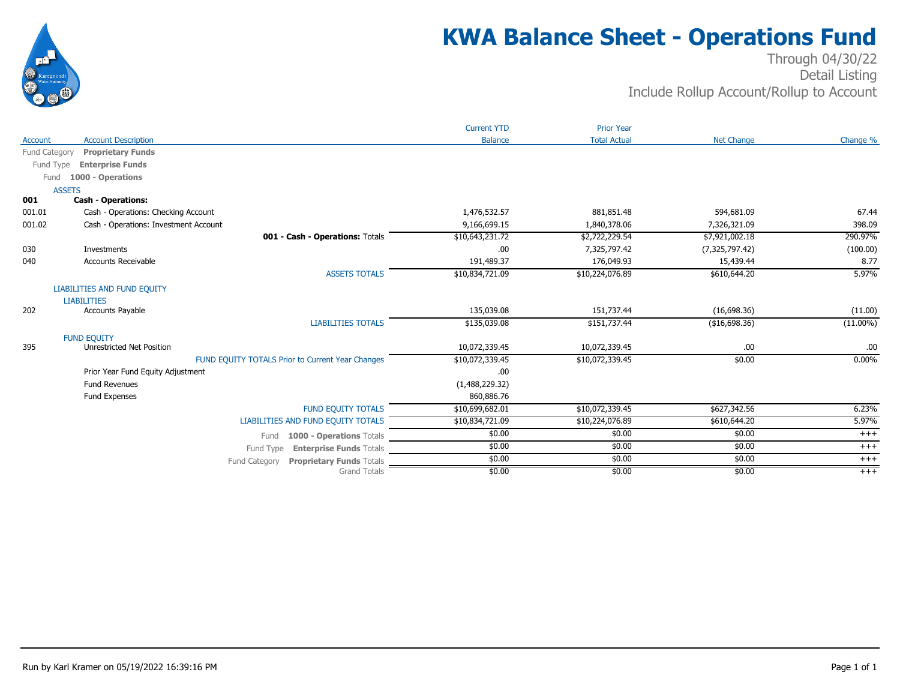

## **KWA Balance Sheet - Operations Fund**

#### Through 04/30/22 Detail Listing Include Rollup Account/Rollup to Account

|                    |                                                  | <b>Current YTD</b> | <b>Prior Year</b>   |                   |             |
|--------------------|--------------------------------------------------|--------------------|---------------------|-------------------|-------------|
| <b>Account</b>     | <b>Account Description</b>                       | <b>Balance</b>     | <b>Total Actual</b> | <b>Net Change</b> | Change %    |
| Fund Category      | <b>Proprietary Funds</b>                         |                    |                     |                   |             |
| Fund Type          | <b>Enterprise Funds</b>                          |                    |                     |                   |             |
| Fund               | 1000 - Operations                                |                    |                     |                   |             |
| <b>ASSETS</b>      |                                                  |                    |                     |                   |             |
| 001                | <b>Cash - Operations:</b>                        |                    |                     |                   |             |
| 001.01             | Cash - Operations: Checking Account              | 1,476,532.57       | 881,851.48          | 594,681.09        | 67.44       |
| 001.02             | Cash - Operations: Investment Account            | 9,166,699.15       | 1,840,378.06        | 7,326,321.09      | 398.09      |
|                    | 001 - Cash - Operations: Totals                  | \$10,643,231.72    | \$2,722,229.54      | \$7,921,002.18    | 290.97%     |
| 030                | Investments                                      | .00                | 7,325,797.42        | (7,325,797.42)    | (100.00)    |
| 040                | <b>Accounts Receivable</b>                       | 191,489.37         | 176,049.93          | 15,439.44         | 8.77        |
|                    | <b>ASSETS TOTALS</b>                             | \$10,834,721.09    | \$10,224,076.89     | \$610,644.20      | 5.97%       |
|                    | LIABILITIES AND FUND EQUITY                      |                    |                     |                   |             |
| <b>LIABILITIES</b> |                                                  |                    |                     |                   |             |
| 202                | <b>Accounts Payable</b>                          | 135,039.08         | 151,737.44          | (16,698.36)       | (11.00)     |
|                    | <b>LIABILITIES TOTALS</b>                        | \$135,039.08       | \$151,737.44        | (\$16,698.36)     | $(11.00\%)$ |
|                    | <b>FUND EQUITY</b>                               |                    |                     |                   |             |
| 395                | <b>Unrestricted Net Position</b>                 | 10,072,339.45      | 10,072,339.45       | .00               | .00.        |
|                    | FUND EQUITY TOTALS Prior to Current Year Changes | \$10,072,339.45    | \$10,072,339.45     | \$0.00            | $0.00\%$    |
|                    | Prior Year Fund Equity Adjustment                | .00                |                     |                   |             |
|                    | <b>Fund Revenues</b>                             | (1,488,229.32)     |                     |                   |             |
|                    | Fund Expenses                                    | 860,886.76         |                     |                   |             |
|                    | <b>FUND EQUITY TOTALS</b>                        | \$10,699,682.01    | \$10,072,339.45     | \$627,342.56      | 6.23%       |
|                    | LIABILITIES AND FUND EQUITY TOTALS               | \$10,834,721.09    | \$10,224,076.89     | \$610,644.20      | 5.97%       |
|                    | 1000 - Operations Totals<br>Fund                 | \$0.00             | \$0.00              | \$0.00            | $+++$       |
|                    | Fund Type<br><b>Enterprise Funds Totals</b>      | \$0.00             | \$0.00              | \$0.00            | $^{+++}$    |
|                    | <b>Proprietary Funds Totals</b><br>Fund Category | \$0.00             | \$0.00              | \$0.00            | $+++$       |
|                    | <b>Grand Totals</b>                              | \$0.00             | \$0.00              | \$0.00            | $+++$       |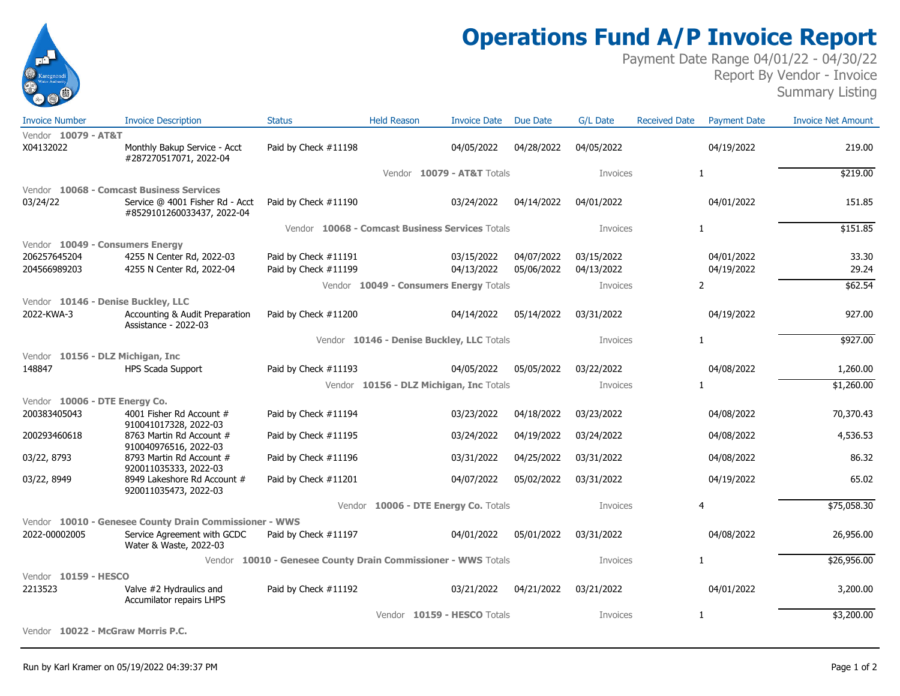

## **Operations Fund A/P Invoice Report**

Payment Date Range 04/01/22 - 04/30/22 Report By Vendor - Invoice Summary Listing

| <b>Invoice Number</b>              | <b>Invoice Description</b>                                    | <b>Status</b>                                          | <b>Held Reason</b>                        | <b>Invoice Date</b>            | <b>Due Date</b> | <b>G/L Date</b> | <b>Received Date</b> | <b>Payment Date</b> | <b>Invoice Net Amount</b> |
|------------------------------------|---------------------------------------------------------------|--------------------------------------------------------|-------------------------------------------|--------------------------------|-----------------|-----------------|----------------------|---------------------|---------------------------|
| Vendor 10079 - AT&T                |                                                               |                                                        |                                           |                                |                 |                 |                      |                     |                           |
| X04132022                          | Monthly Bakup Service - Acct<br>#287270517071, 2022-04        | Paid by Check #11198                                   |                                           | 04/05/2022                     | 04/28/2022      | 04/05/2022      |                      | 04/19/2022          | 219.00                    |
|                                    |                                                               |                                                        | Vendor                                    | <b>10079 - AT&amp;T Totals</b> |                 | Invoices        |                      | 1                   | \$219.00                  |
|                                    | Vendor 10068 - Comcast Business Services                      |                                                        |                                           |                                |                 |                 |                      |                     |                           |
| 03/24/22                           | Service @ 4001 Fisher Rd - Acct<br>#8529101260033437, 2022-04 | Paid by Check #11190                                   |                                           | 03/24/2022                     | 04/14/2022      | 04/01/2022      |                      | 04/01/2022          | 151.85                    |
|                                    |                                                               | Vendor 10068 - Comcast Business Services Totals        |                                           |                                |                 | Invoices        |                      | $\mathbf{1}$        | \$151.85                  |
| Vendor 10049 - Consumers Energy    |                                                               |                                                        |                                           |                                |                 |                 |                      |                     |                           |
| 206257645204                       | 4255 N Center Rd, 2022-03                                     | Paid by Check #11191                                   |                                           | 03/15/2022                     | 04/07/2022      | 03/15/2022      |                      | 04/01/2022          | 33.30                     |
| 204566989203                       | 4255 N Center Rd, 2022-04                                     | Paid by Check #11199                                   |                                           | 04/13/2022                     | 05/06/2022      | 04/13/2022      |                      | 04/19/2022          | 29.24                     |
|                                    |                                                               |                                                        | Vendor 10049 - Consumers Energy Totals    |                                |                 | Invoices        |                      | $\overline{2}$      | \$62.54                   |
| Vendor 10146 - Denise Buckley, LLC |                                                               |                                                        |                                           |                                |                 |                 |                      |                     |                           |
| 2022-KWA-3                         | Accounting & Audit Preparation<br>Assistance - 2022-03        | Paid by Check #11200                                   |                                           | 04/14/2022                     | 05/14/2022      | 03/31/2022      |                      | 04/19/2022          | 927.00                    |
|                                    |                                                               |                                                        | Vendor 10146 - Denise Buckley, LLC Totals |                                |                 | Invoices        |                      | $\mathbf{1}$        | \$927.00                  |
| Vendor 10156 - DLZ Michigan, Inc   |                                                               |                                                        |                                           |                                |                 |                 |                      |                     |                           |
| 148847                             | <b>HPS Scada Support</b>                                      | Paid by Check #11193                                   |                                           | 04/05/2022                     | 05/05/2022      | 03/22/2022      |                      | 04/08/2022          | 1,260.00                  |
|                                    |                                                               |                                                        | Vendor 10156 - DLZ Michigan, Inc Totals   |                                |                 | Invoices        |                      | $\mathbf{1}$        | \$1,260.00                |
| Vendor 10006 - DTE Energy Co.      |                                                               |                                                        |                                           |                                |                 |                 |                      |                     |                           |
| 200383405043                       | 4001 Fisher Rd Account #<br>910041017328, 2022-03             | Paid by Check #11194                                   |                                           | 03/23/2022                     | 04/18/2022      | 03/23/2022      |                      | 04/08/2022          | 70,370.43                 |
| 200293460618                       | 8763 Martin Rd Account #<br>910040976516, 2022-03             | Paid by Check #11195                                   |                                           | 03/24/2022                     | 04/19/2022      | 03/24/2022      |                      | 04/08/2022          | 4,536.53                  |
| 03/22, 8793                        | 8793 Martin Rd Account #<br>920011035333, 2022-03             | Paid by Check #11196                                   |                                           | 03/31/2022                     | 04/25/2022      | 03/31/2022      |                      | 04/08/2022          | 86.32                     |
| 03/22, 8949                        | 8949 Lakeshore Rd Account #<br>920011035473, 2022-03          | Paid by Check #11201                                   |                                           | 04/07/2022                     | 05/02/2022      | 03/31/2022      |                      | 04/19/2022          | 65.02                     |
|                                    |                                                               |                                                        | Vendor 10006 - DTE Energy Co. Totals      |                                |                 | Invoices        |                      | 4                   | \$75,058.30               |
|                                    | Vendor 10010 - Genesee County Drain Commissioner - WWS        |                                                        |                                           |                                |                 |                 |                      |                     |                           |
| 2022-00002005                      | Service Agreement with GCDC<br>Water & Waste, 2022-03         | Paid by Check #11197                                   |                                           | 04/01/2022                     | 05/01/2022      | 03/31/2022      |                      | 04/08/2022          | 26,956.00                 |
|                                    | Vendor                                                        | 10010 - Genesee County Drain Commissioner - WWS Totals |                                           |                                |                 | Invoices        |                      | $\mathbf{1}$        | \$26,956.00               |
| Vendor 10159 - HESCO               |                                                               |                                                        |                                           |                                |                 |                 |                      |                     |                           |
| 2213523                            | Valve #2 Hydraulics and<br>Accumilator repairs LHPS           | Paid by Check #11192                                   |                                           | 03/21/2022                     | 04/21/2022      | 03/21/2022      |                      | 04/01/2022          | 3,200.00                  |
|                                    |                                                               |                                                        |                                           | Vendor 10159 - HESCO Totals    |                 | Invoices        |                      | 1                   | \$3,200.00                |
| Vendor 10022 - McGraw Morris P.C.  |                                                               |                                                        |                                           |                                |                 |                 |                      |                     |                           |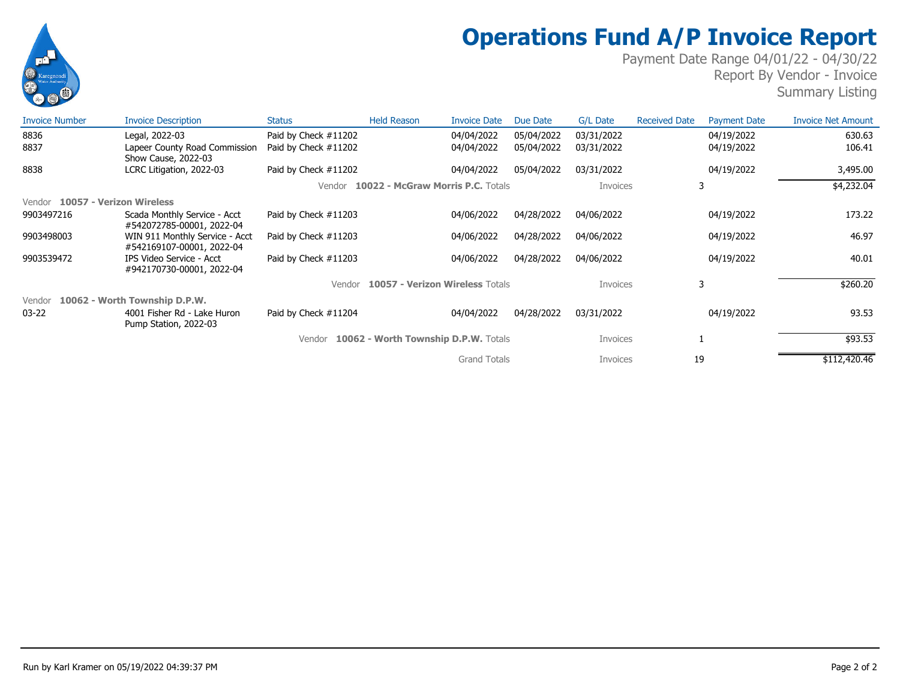

# **Operations Fund A/P Invoice Report**

Payment Date Range 04/01/22 - 04/30/22 Report By Vendor - Invoice Summary Listing

| <b>Invoice Number</b>              | <b>Invoice Description</b>                                  | <b>Status</b>           | <b>Held Reason</b>                   | <b>Invoice Date</b> | Due Date   | G/L Date   | <b>Received Date</b> | <b>Payment Date</b> | <b>Invoice Net Amount</b> |
|------------------------------------|-------------------------------------------------------------|-------------------------|--------------------------------------|---------------------|------------|------------|----------------------|---------------------|---------------------------|
| 8836                               | Legal, 2022-03                                              | Paid by Check #11202    |                                      | 04/04/2022          | 05/04/2022 | 03/31/2022 |                      | 04/19/2022          | 630.63                    |
| 8837                               | Lapeer County Road Commission<br>Show Cause, 2022-03        | Paid by Check #11202    |                                      | 04/04/2022          | 05/04/2022 | 03/31/2022 |                      | 04/19/2022          | 106.41                    |
| 8838                               | LCRC Litigation, 2022-03                                    | Paid by Check #11202    |                                      | 04/04/2022          | 05/04/2022 | 03/31/2022 |                      | 04/19/2022          | 3,495.00                  |
|                                    |                                                             | Vendor                  | 10022 - McGraw Morris P.C. Totals    |                     |            | Invoices   |                      | 3                   | \$4,232.04                |
| 10057 - Verizon Wireless<br>Vendor |                                                             |                         |                                      |                     |            |            |                      |                     |                           |
| 9903497216                         | Scada Monthly Service - Acct<br>#542072785-00001, 2022-04   | Paid by Check #11203    |                                      | 04/06/2022          | 04/28/2022 | 04/06/2022 |                      | 04/19/2022          | 173.22                    |
| 9903498003                         | WIN 911 Monthly Service - Acct<br>#542169107-00001, 2022-04 | Paid by Check $\#11203$ |                                      | 04/06/2022          | 04/28/2022 | 04/06/2022 |                      | 04/19/2022          | 46.97                     |
| 9903539472                         | IPS Video Service - Acct<br>#942170730-00001, 2022-04       | Paid by Check #11203    |                                      | 04/06/2022          | 04/28/2022 | 04/06/2022 |                      | 04/19/2022          | 40.01                     |
|                                    |                                                             | Vendor                  | 10057 - Verizon Wireless Totals      |                     |            | Invoices   |                      | 3                   | \$260.20                  |
| Vendor                             | 10062 - Worth Township D.P.W.                               |                         |                                      |                     |            |            |                      |                     |                           |
| $03 - 22$                          | 4001 Fisher Rd - Lake Huron<br>Pump Station, 2022-03        | Paid by Check #11204    |                                      | 04/04/2022          | 04/28/2022 | 03/31/2022 |                      | 04/19/2022          | 93.53                     |
|                                    |                                                             | Vendor                  | 10062 - Worth Township D.P.W. Totals |                     |            | Invoices   |                      |                     | \$93.53                   |
|                                    |                                                             |                         |                                      | <b>Grand Totals</b> |            | Invoices   | 19                   |                     | \$112,420.46              |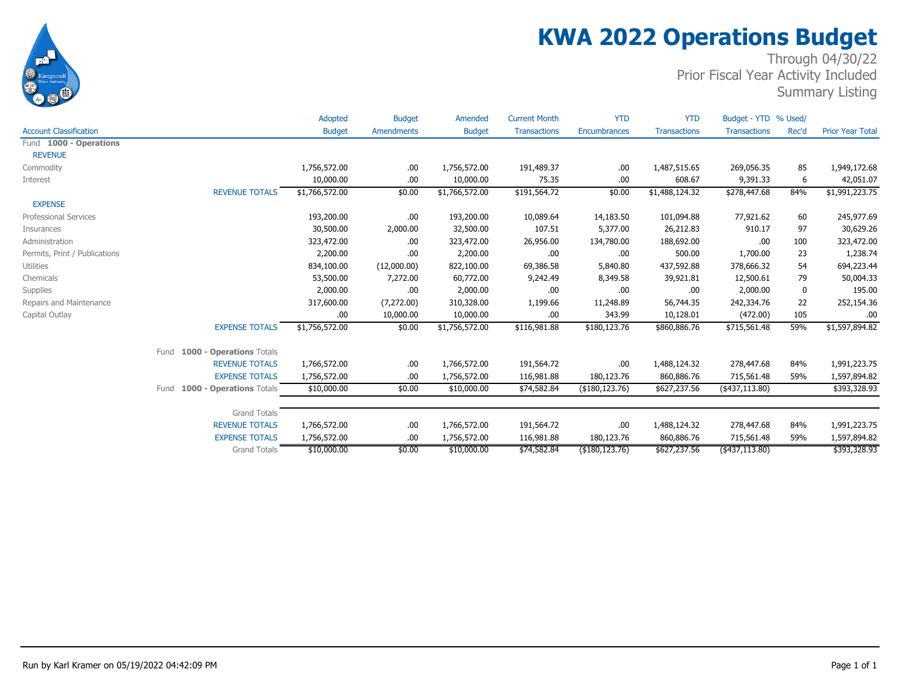

# **KWA 2022 Operations Budget**

Through 04/30/22 Prior Fiscal Year Activity Included

Summary Listing

|                                  | <b>Budget</b>                                | Amendments              | <b>Budget</b>  | <b>Transactions</b>     | <b>Encumbrances</b>  | <b>Transactions</b> | <b>Transactions</b>        | Rec'd      | <b>Prior Year Total</b>     |
|----------------------------------|----------------------------------------------|-------------------------|----------------|-------------------------|----------------------|---------------------|----------------------------|------------|-----------------------------|
|                                  |                                              |                         |                |                         |                      |                     |                            |            |                             |
|                                  |                                              |                         |                |                         |                      |                     |                            |            |                             |
|                                  | 1,756,572.00                                 | .00                     | 1,756,572.00   | 191,489.37              | .00                  | 1,487,515.65        | 269,056.35                 | 85         | 1,949,172.68                |
|                                  | 10,000.00                                    | .00.                    | 10,000.00      | 75.35                   | .00                  | 608.67              | 9,391.33                   | 6          | 42,051.07                   |
| <b>REVENUE TOTALS</b>            | \$1,766,572.00                               | \$0.00                  | \$1,766,572.00 | \$191,564.72            | \$0.00               | \$1,488,124.32      | \$278,447.68               | 84%        | \$1,991,223.75              |
|                                  |                                              |                         |                |                         |                      |                     |                            |            |                             |
|                                  | 193,200.00                                   | .00.                    | 193,200.00     | 10,089.64               | 14,183.50            | 101,094.88          | 77,921.62                  | 60         | 245,977.69                  |
|                                  | 30,500.00                                    | 2,000.00                | 32,500.00      | 107.51                  | 5,377.00             | 26,212.83           | 910.17                     | 97         | 30,629.26                   |
|                                  | 323,472.00                                   | .00                     | 323,472.00     | 26,956.00               | 134,780.00           | 188,692.00          | .00                        | 100        | 323,472.00                  |
|                                  | 2,200.00                                     | .00                     | 2,200.00       | .00.                    | .00                  | 500.00              | 1,700.00                   | 23         | 1,238.74                    |
|                                  | 834,100.00                                   | (12,000.00)             | 822,100.00     | 69,386.58               | 5,840.80             | 437,592.88          | 378,666.32                 | 54         | 694,223.44                  |
|                                  | 53,500.00                                    | 7,272.00                | 60,772.00      | 9,242.49                | 8,349.58             | 39,921.81           | 12,500.61                  | 79         | 50,004.33                   |
|                                  | 2,000.00                                     | .00.                    | 2,000.00       | .00                     | .00                  | .00                 | 2,000.00                   | 0          | 195.00                      |
|                                  | 317,600.00                                   | (7,272.00)              | 310,328.00     | 1,199.66                | 11,248.89            | 56,744.35           | 242,334.76                 | 22         | 252,154.36                  |
|                                  | .00                                          | 10,000.00               | 10,000.00      | .00.                    | 343.99               | 10,128.01           | (472.00)                   | 105        | .00                         |
| <b>EXPENSE TOTALS</b>            | \$1,756,572.00                               | \$0.00                  | \$1,756,572.00 | \$116,981.88            | \$180,123.76         | \$860,886.76        | \$715,561.48               | 59%        | \$1,597,894.82              |
| 1000 - Operations Totals<br>Fund |                                              |                         |                |                         |                      |                     |                            |            |                             |
| <b>REVENUE TOTALS</b>            | 1,766,572.00                                 | .00                     | 1,766,572.00   | 191,564.72              | .00                  | 1,488,124.32        | 278,447.68                 | 84%        | 1,991,223.75                |
| <b>EXPENSE TOTALS</b>            | 1,756,572.00                                 | .00                     | 1,756,572.00   | 116,981.88              | 180,123.76           | 860,886.76          | 715,561.48                 | 59%        | 1,597,894.82                |
| 1000 - Operations Totals<br>Fund | \$10,000.00                                  | \$0.00                  | \$10,000.00    | \$74,582.84             | (\$180, 123.76)      | \$627,237.56        | $($ \$437,113.80)          |            | \$393,328.93                |
|                                  |                                              |                         |                |                         |                      |                     |                            |            |                             |
|                                  |                                              |                         |                |                         |                      |                     |                            |            |                             |
|                                  |                                              | .00.                    |                | 191,564.72              | .00                  |                     |                            |            | 1,991,223.75                |
| <b>EXPENSE TOTALS</b>            | 1,756,572.00                                 | .00.                    | 1,756,572.00   | 116,981.88              | 180,123.76           | 860,886.76          | 715,561.48                 | 59%        | 1,597,894.82                |
| <b>Grand Totals</b>              | \$10,000.00                                  | \$0.00                  | \$10,000.00    | \$74,582.84             | (\$180, 123.76)      | \$627,237.56        | (437, 113.80)              |            | \$393,328.93                |
|                                  | <b>Grand Totals</b><br><b>REVENUE TOTALS</b> | Adopted<br>1,766,572.00 | <b>Budget</b>  | Amended<br>1,766,572.00 | <b>Current Month</b> | <b>YTD</b>          | <b>YTD</b><br>1,488,124.32 | 278,447.68 | Budget - YTD % Used/<br>84% |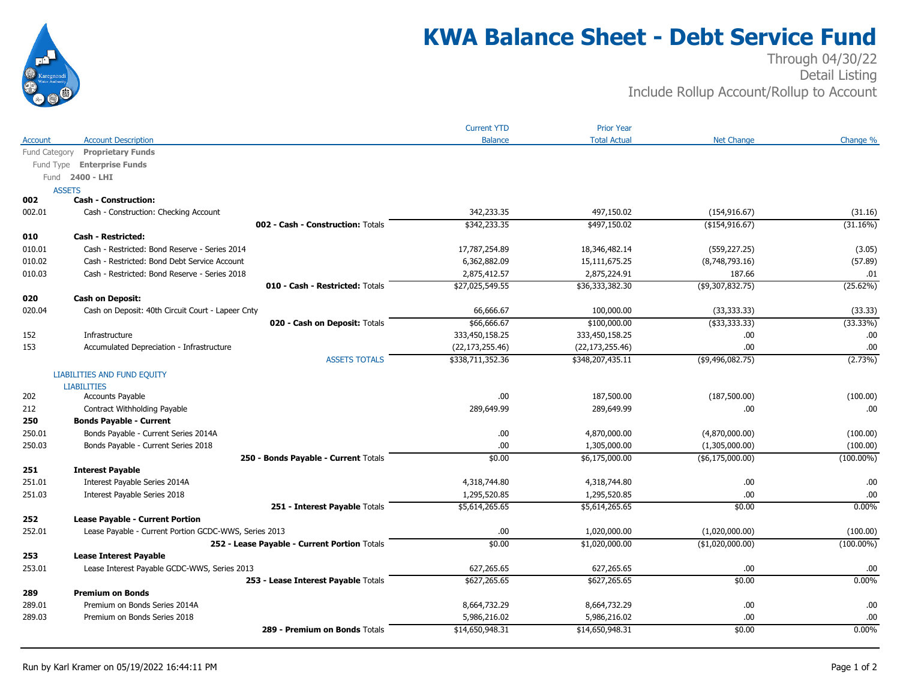

## **KWA Balance Sheet - Debt Service Fund**

#### Through 04/30/22 Detail Listing Include Rollup Account/Rollup to Account

|               |                                                       | <b>Current YTD</b> | <b>Prior Year</b>   |                     |              |
|---------------|-------------------------------------------------------|--------------------|---------------------|---------------------|--------------|
| Account       | <b>Account Description</b>                            | <b>Balance</b>     | <b>Total Actual</b> | <b>Net Change</b>   | Change %     |
| Fund Category | <b>Proprietary Funds</b>                              |                    |                     |                     |              |
| Fund Type     | <b>Enterprise Funds</b>                               |                    |                     |                     |              |
| Fund          | 2400 - LHI                                            |                    |                     |                     |              |
|               | <b>ASSETS</b>                                         |                    |                     |                     |              |
| 002           | <b>Cash - Construction:</b>                           |                    |                     |                     |              |
| 002.01        | Cash - Construction: Checking Account                 | 342,233.35         | 497,150.02          | (154, 916.67)       | (31.16)      |
|               | 002 - Cash - Construction: Totals                     | \$342,233.35       | \$497,150.02        | (\$154, 916.67)     | (31.16%)     |
| 010           | <b>Cash - Restricted:</b>                             |                    |                     |                     |              |
| 010.01        | Cash - Restricted: Bond Reserve - Series 2014         | 17,787,254.89      | 18,346,482.14       | (559, 227.25)       | (3.05)       |
| 010.02        | Cash - Restricted: Bond Debt Service Account          | 6,362,882.09       | 15,111,675.25       | (8,748,793.16)      | (57.89)      |
| 010.03        | Cash - Restricted: Bond Reserve - Series 2018         | 2,875,412.57       | 2,875,224.91        | 187.66              | .01          |
|               | 010 - Cash - Restricted: Totals                       | \$27,025,549.55    | \$36,333,382.30     | $($ \$9,307,832.75) | (25.62%)     |
| 020           | <b>Cash on Deposit:</b>                               |                    |                     |                     |              |
| 020.04        | Cash on Deposit: 40th Circuit Court - Lapeer Cnty     | 66,666.67          | 100,000.00          | (33, 333.33)        | (33.33)      |
|               | 020 - Cash on Deposit: Totals                         | \$66,666.67        | \$100,000.00        | ( \$33,333.33)      | (33.33%)     |
| 152           | Infrastructure                                        | 333,450,158.25     | 333,450,158.25      | .00                 | .00          |
| 153           | Accumulated Depreciation - Infrastructure             | (22, 173, 255.46)  | (22, 173, 255.46)   | .00                 | .00          |
|               | <b>ASSETS TOTALS</b>                                  | \$338,711,352.36   | \$348,207,435.11    | $($ \$9,496,082.75) | (2.73%)      |
|               | <b>LIABILITIES AND FUND EQUITY</b>                    |                    |                     |                     |              |
|               | <b>LIABILITIES</b>                                    |                    |                     |                     |              |
| 202           | Accounts Payable                                      | .00                | 187,500.00          | (187,500.00)        | (100.00)     |
| 212           | Contract Withholding Payable                          | 289,649.99         | 289,649.99          | .00                 | .00          |
| 250           | <b>Bonds Payable - Current</b>                        |                    |                     |                     |              |
| 250.01        | Bonds Payable - Current Series 2014A                  | .00                | 4,870,000.00        | (4,870,000.00)      | (100.00)     |
| 250.03        | Bonds Payable - Current Series 2018                   | .00                | 1,305,000.00        | (1,305,000.00)      | (100.00)     |
|               | 250 - Bonds Payable - Current Totals                  | \$0.00             | \$6,175,000.00      | ( \$6,175,000.00)   | $(100.00\%)$ |
| 251           | <b>Interest Payable</b>                               |                    |                     |                     |              |
| 251.01        | Interest Payable Series 2014A                         | 4,318,744.80       | 4,318,744.80        | .00                 | .00          |
| 251.03        | Interest Payable Series 2018                          | 1,295,520.85       | 1,295,520.85        | .00                 | .00          |
|               | 251 - Interest Payable Totals                         | \$5,614,265.65     | \$5,614,265.65      | \$0.00              | 0.00%        |
| 252           | <b>Lease Payable - Current Portion</b>                |                    |                     |                     |              |
| 252.01        | Lease Payable - Current Portion GCDC-WWS, Series 2013 | .00                | 1,020,000.00        | (1,020,000.00)      | (100.00)     |
|               | 252 - Lease Payable - Current Portion Totals          | \$0.00             | \$1,020,000.00      | $($ \$1,020,000.00) | $(100.00\%)$ |
| 253           | <b>Lease Interest Payable</b>                         |                    |                     |                     |              |
| 253.01        | Lease Interest Payable GCDC-WWS, Series 2013          | 627,265.65         | 627,265.65          | .00                 | .00          |
|               | 253 - Lease Interest Payable Totals                   | \$627,265.65       | \$627,265.65        | \$0.00              | 0.00%        |
| 289           | <b>Premium on Bonds</b>                               |                    |                     |                     |              |
| 289.01        | Premium on Bonds Series 2014A                         | 8,664,732.29       | 8,664,732.29        | .00                 | .00          |
| 289.03        | Premium on Bonds Series 2018                          | 5,986,216.02       | 5,986,216.02        | .00                 | .00          |
|               | 289 - Premium on Bonds Totals                         | \$14,650,948.31    | \$14,650,948.31     | \$0.00              | 0.00%        |
|               |                                                       |                    |                     |                     |              |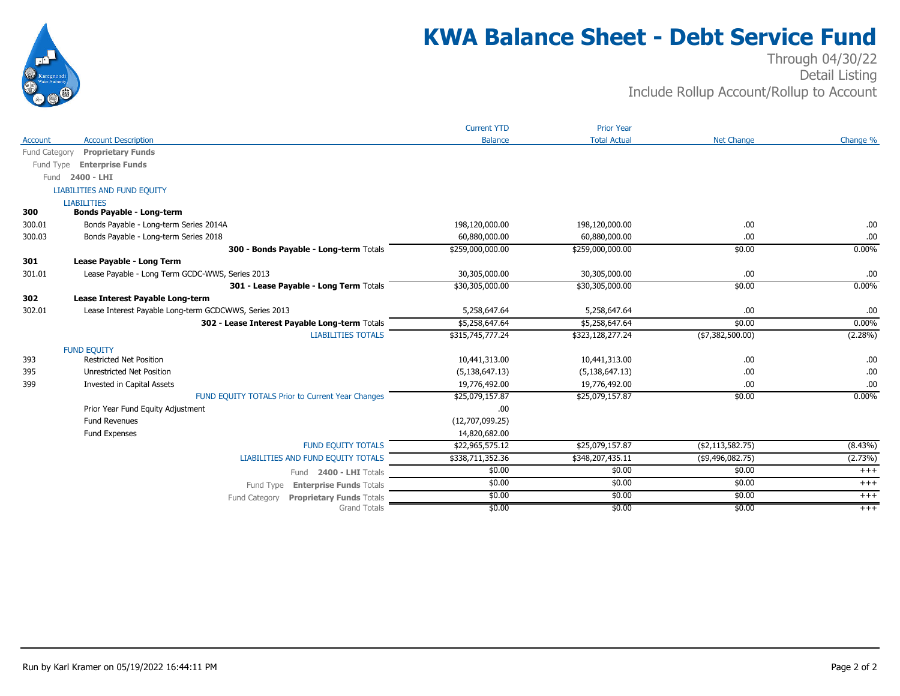

## **KWA Balance Sheet - Debt Service Fund**

#### Through 04/30/22 Detail Listing Include Rollup Account/Rollup to Account

|                |                                                       | <b>Current YTD</b> | <b>Prior Year</b>   |                     |            |
|----------------|-------------------------------------------------------|--------------------|---------------------|---------------------|------------|
| <b>Account</b> | <b>Account Description</b>                            | <b>Balance</b>     | <b>Total Actual</b> | <b>Net Change</b>   | Change %   |
| Fund Category  | <b>Proprietary Funds</b>                              |                    |                     |                     |            |
| Fund Type      | <b>Enterprise Funds</b>                               |                    |                     |                     |            |
| Fund           | 2400 - LHI                                            |                    |                     |                     |            |
|                | LIABILITIES AND FUND EQUITY                           |                    |                     |                     |            |
|                | <b>LIABILITIES</b>                                    |                    |                     |                     |            |
| 300            | <b>Bonds Payable - Long-term</b>                      |                    |                     |                     |            |
| 300.01         | Bonds Payable - Long-term Series 2014A                | 198,120,000.00     | 198,120,000.00      | .00                 | .00        |
| 300.03         | Bonds Payable - Long-term Series 2018                 | 60,880,000.00      | 60,880,000.00       | .00                 | .00        |
|                | 300 - Bonds Payable - Long-term Totals                | \$259,000,000.00   | \$259,000,000.00    | \$0.00              | 0.00%      |
| 301            | Lease Payable - Long Term                             |                    |                     |                     |            |
| 301.01         | Lease Payable - Long Term GCDC-WWS, Series 2013       | 30,305,000.00      | 30,305,000.00       | .00                 | .00        |
|                | 301 - Lease Payable - Long Term Totals                | \$30,305,000.00    | \$30,305,000.00     | \$0.00              | 0.00%      |
| 302            | Lease Interest Payable Long-term                      |                    |                     |                     |            |
| 302.01         | Lease Interest Payable Long-term GCDCWWS, Series 2013 | 5,258,647.64       | 5,258,647.64        | .00                 | .00        |
|                | 302 - Lease Interest Payable Long-term Totals         | \$5,258,647.64     | \$5,258,647.64      | \$0.00              | 0.00%      |
|                | <b>LIABILITIES TOTALS</b>                             | \$315,745,777.24   | \$323,128,277.24    | ( \$7,382,500.00)   | (2.28%)    |
|                | <b>FUND EQUITY</b>                                    |                    |                     |                     |            |
| 393            | <b>Restricted Net Position</b>                        | 10,441,313.00      | 10,441,313.00       | .00                 | .00        |
| 395            | <b>Unrestricted Net Position</b>                      | (5, 138, 647.13)   | (5, 138, 647.13)    | .00                 | .00        |
| 399            | Invested in Capital Assets                            | 19,776,492.00      | 19,776,492.00       | .00                 | .00        |
|                | FUND EQUITY TOTALS Prior to Current Year Changes      | \$25,079,157.87    | \$25,079,157.87     | \$0.00              | 0.00%      |
|                | Prior Year Fund Equity Adjustment                     | .00                |                     |                     |            |
|                | <b>Fund Revenues</b>                                  | (12,707,099.25)    |                     |                     |            |
|                | Fund Expenses                                         | 14,820,682.00      |                     |                     |            |
|                | <b>FUND EQUITY TOTALS</b>                             | \$22,965,575.12    | \$25,079,157.87     | ( \$2,113,582.75)   | $(8.43\%)$ |
|                | LIABILITIES AND FUND EQUITY TOTALS                    | \$338,711,352.36   | \$348,207,435.11    | $($ \$9,496,082.75) | (2.73%)    |
|                | Fund 2400 - LHI Totals                                | \$0.00             | \$0.00              | \$0.00              | $+++$      |
|                | <b>Enterprise Funds Totals</b><br>Fund Type           | \$0.00             | \$0.00              | \$0.00              | $+++$      |
|                | <b>Proprietary Funds Totals</b><br>Fund Category      | \$0.00             | \$0.00              | \$0.00              | $^{+++}$   |
|                | <b>Grand Totals</b>                                   | \$0.00             | \$0.00              | \$0.00              | $+++$      |
|                |                                                       |                    |                     |                     |            |